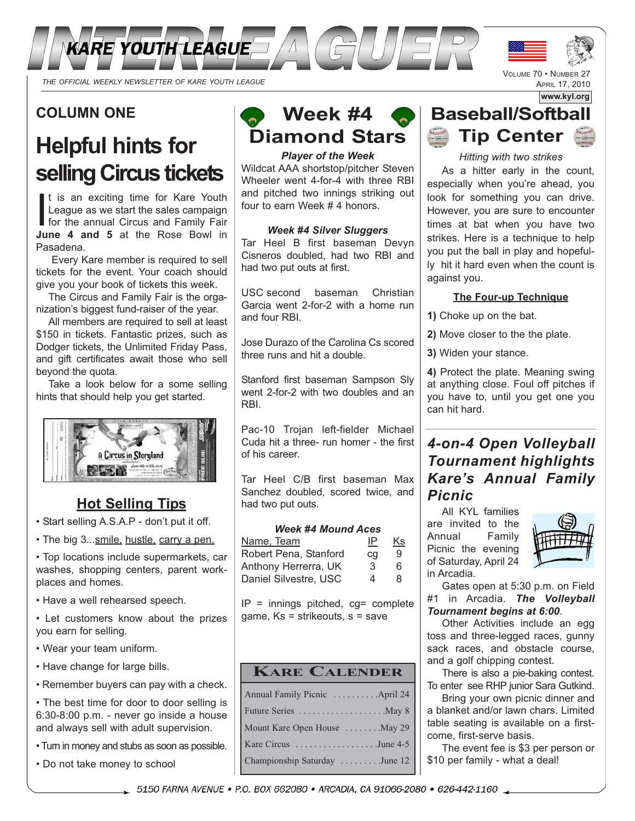

## **COLUMN ONE**

# **Helpful hints for selling Circus tickets**

I t is an exciting time for Kare Youth League as we start the sales campaign for the annual Circus and Family Fair **June 4 and 5** at the Rose Bowl in Pasadena.

Every Kare member is required to sell tickets for the event. Your coach should give you your book of tickets this week.

The Circus and Family Fair is the organization's biggest fund-raiser of the year.

All members are required to sell at least \$150 in tickets. Fantastic prizes, such as Dodger tickets, the Unlimited Friday Pass, and gift certificates await those who sell beyond the quota.

Take a look below for a some selling hints that should help you get started.



### **Hot Selling Tips**

- Start selling A.S.A.P don't put it off.
- The big 3...smile, hustle, carry a pen.

• Top locations include supermarkets, car washes, shopping centers, parent workplaces and homes.

• Have a well rehearsed speech.

• Let customers know about the prizes you earn for selling.

- Wear your team uniform.
- Have change for large bills.
- Remember buyers can pay with a check.

• The best time for door to door selling is 6:30-8:00 p.m. - never go inside a house and always sell with adult supervision.

• Turn in money and stubs as soon as possible.

• Do not take money to school

# **Week #4 Diamond Stars**

*Player of the Week* Wildcat AAA shortstop/pitcher Steven Wheeler went 4-for-4 with three RBI and pitched two innings striking out four to earn Week # 4 honors.

### *Week #4 Silver Sluggers*

Tar Heel B first baseman Devyn Cisneros doubled, had two RBI and had two put outs at first.

USC second baseman Christian Garcia went 2-for-2 with a home run and four RBI.

Jose Durazo of the Carolina Cs scored three runs and hit a double.

Stanford first baseman Sampson Sly went 2-for-2 with two doubles and an RBI.

Pac-10 Trojan left-fielder Michael Cuda hit a three- run homer - the first of his career.

Tar Heel C/B first baseman Max Sanchez doubled, scored twice, and had two put outs.

#### *Week #4 Mound Aces*

| Name, Team            | IP | Κs |
|-----------------------|----|----|
| Robert Pena, Stanford | cq | 9  |
| Anthony Herrerra, UK  | 3  | 6  |
| Daniel Silvestre, USC | 4  | R  |

 $IP =$  innings pitched,  $cg =$  complete game, Ks = strikeouts, s = save

### **KARE CALENDER**

| Annual Family Picnic  April 24 |
|--------------------------------|
| Future Series May 8            |
| Mount Kare Open House  May 29  |
| Kare Circus June 4-5           |
| Championship Saturday June 12  |
|                                |



VOLUME 70 • NUMBER 27 APRIL 17, 2010

*Hitting with two strikes* As a hitter early in the count, especially when you're ahead, you look for something you can drive. However, you are sure to encounter times at bat when you have two strikes. Here is a technique to help you put the ball in play and hopefully hit it hard even when the count is against you.

### **The Four-up Technique**

**1)** Choke up on the bat.

**2)** Move closer to the the plate.

**3)** Widen your stance.

**4)** Protect the plate. Meaning swing at anything close. Foul off pitches if you have to, until you get one you can hit hard.

## *4-on-4 Open Volleyball Tournament highlights Kare's Annual Family Picnic*

All KYL families are invited to the Annual Family Picnic the evening of Saturday, April 24 in Arcadia.



Gates open at 5:30 p.m. on Field #1 in Arcadia. *The Volleyball Tournament begins at 6:00*.

Other Activities include an egg toss and three-legged races, gunny sack races, and obstacle course, and a golf chipping contest.

There is also a pie-baking contest. To enter see RHP junior Sara Gutkind.

Bring your own picnic dinner and a blanket and/or lawn chars. Limited table seating is available on a firstcome, first-serve basis.

The event fee is \$3 per person or \$10 per family - what a deal!